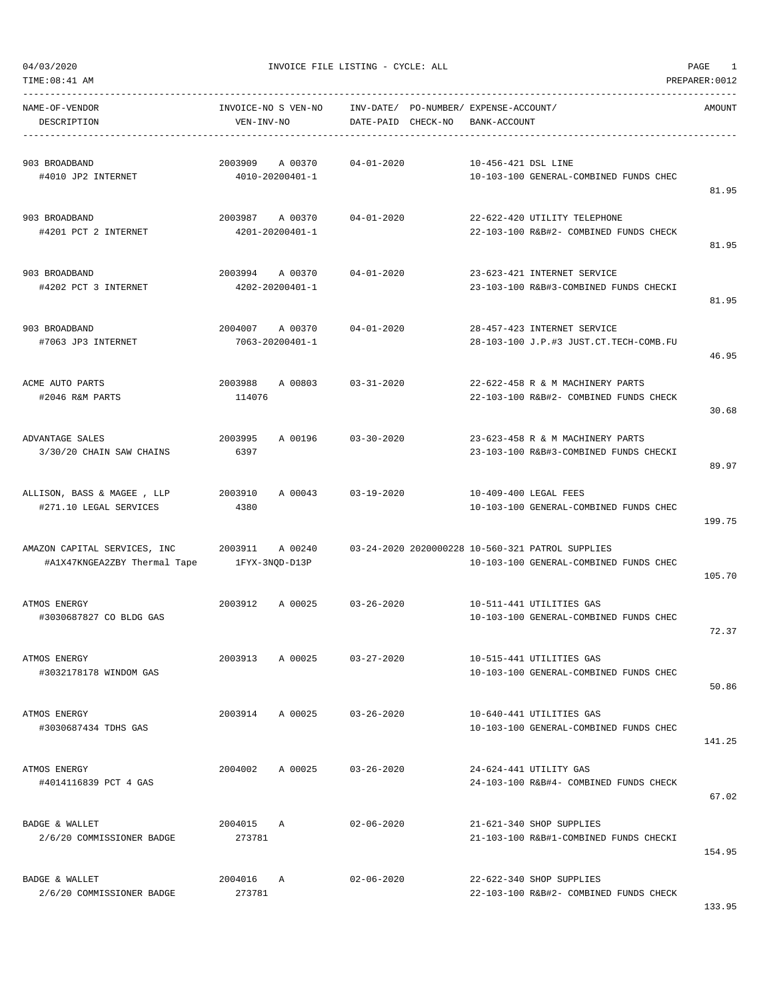| TIME: 08:41 AM                                               | PREPARER: 0012                        |                                    |                                                                                            |        |  |  |  |  |  |  |
|--------------------------------------------------------------|---------------------------------------|------------------------------------|--------------------------------------------------------------------------------------------|--------|--|--|--|--|--|--|
| NAME-OF-VENDOR<br>DESCRIPTION                                | INVOICE-NO S VEN-NO<br>VEN-INV-NO     | INV-DATE/<br>CHECK-NO<br>DATE-PAID | PO-NUMBER/ EXPENSE-ACCOUNT/<br>BANK-ACCOUNT                                                | AMOUNT |  |  |  |  |  |  |
| 903 BROADBAND<br>#4010 JP2 INTERNET                          | 2003909<br>A 00370<br>4010-20200401-1 | $04 - 01 - 2020$                   | 10-456-421 DSL LINE<br>10-103-100 GENERAL-COMBINED FUNDS CHEC                              | 81.95  |  |  |  |  |  |  |
| 903 BROADBAND<br>#4201 PCT 2 INTERNET                        | 2003987 A 00370<br>4201-20200401-1    | $04 - 01 - 2020$                   | 22-622-420 UTILITY TELEPHONE<br>22-103-100 R&B#2- COMBINED FUNDS CHECK                     | 81.95  |  |  |  |  |  |  |
| 903 BROADBAND<br>#4202 PCT 3 INTERNET                        | 2003994<br>A 00370<br>4202-20200401-1 | $04 - 01 - 2020$                   | 23-623-421 INTERNET SERVICE<br>23-103-100 R&B#3-COMBINED FUNDS CHECKI                      | 81.95  |  |  |  |  |  |  |
| 903 BROADBAND<br>#7063 JP3 INTERNET                          | 2004007<br>A 00370<br>7063-20200401-1 | $04 - 01 - 2020$                   | 28-457-423 INTERNET SERVICE<br>28-103-100 J.P.#3 JUST.CT.TECH-COMB.FU                      | 46.95  |  |  |  |  |  |  |
| ACME AUTO PARTS<br>#2046 R&M PARTS                           | 2003988<br>A 00803<br>114076          | $03 - 31 - 2020$                   | 22-622-458 R & M MACHINERY PARTS<br>22-103-100 R&B#2- COMBINED FUNDS CHECK                 | 30.68  |  |  |  |  |  |  |
| ADVANTAGE SALES<br>3/30/20 CHAIN SAW CHAINS                  | 2003995<br>A 00196<br>6397            | $03 - 30 - 2020$                   | 23-623-458 R & M MACHINERY PARTS<br>23-103-100 R&B#3-COMBINED FUNDS CHECKI                 | 89.97  |  |  |  |  |  |  |
| ALLISON, BASS & MAGEE , LLP<br>#271.10 LEGAL SERVICES        | 2003910<br>A 00043<br>4380            | $03 - 19 - 2020$                   | 10-409-400 LEGAL FEES<br>10-103-100 GENERAL-COMBINED FUNDS CHEC                            | 199.75 |  |  |  |  |  |  |
| AMAZON CAPITAL SERVICES, INC<br>#A1X47KNGEA2ZBY Thermal Tape | 2003911<br>A 00240<br>1FYX-3NOD-D13P  |                                    | 03-24-2020 2020000228 10-560-321 PATROL SUPPLIES<br>10-103-100 GENERAL-COMBINED FUNDS CHEC | 105.70 |  |  |  |  |  |  |
| ATMOS ENERGY<br>#3030687827 CO BLDG GAS                      | 2003912<br>A 00025                    | $03 - 26 - 2020$                   | 10-511-441 UTILITIES GAS<br>10-103-100 GENERAL-COMBINED FUNDS CHEC                         | 72.37  |  |  |  |  |  |  |
| ATMOS ENERGY<br>#3032178178 WINDOM GAS                       | 2003913<br>A 00025                    | $03 - 27 - 2020$                   | 10-515-441 UTILITIES GAS<br>10-103-100 GENERAL-COMBINED FUNDS CHEC                         | 50.86  |  |  |  |  |  |  |
| ATMOS ENERGY<br>#3030687434 TDHS GAS                         | 2003914<br>A 00025                    | $03 - 26 - 2020$                   | 10-640-441 UTILITIES GAS<br>10-103-100 GENERAL-COMBINED FUNDS CHEC                         | 141.25 |  |  |  |  |  |  |
| ATMOS ENERGY<br>#4014116839 PCT 4 GAS                        | 2004002<br>A 00025                    | $03 - 26 - 2020$                   | 24-624-441 UTILITY GAS<br>24-103-100 R&B#4- COMBINED FUNDS CHECK                           | 67.02  |  |  |  |  |  |  |
| BADGE & WALLET<br>2/6/20 COMMISSIONER BADGE                  | 2004015 A<br>273781                   | $02 - 06 - 2020$                   | 21-621-340 SHOP SUPPLIES<br>21-103-100 R&B#1-COMBINED FUNDS CHECKI                         | 154.95 |  |  |  |  |  |  |
| BADGE & WALLET<br>2/6/20 COMMISSIONER BADGE                  | 2004016<br>Α<br>273781                | $02 - 06 - 2020$                   | 22-622-340 SHOP SUPPLIES<br>22-103-100 R&B#2- COMBINED FUNDS CHECK                         |        |  |  |  |  |  |  |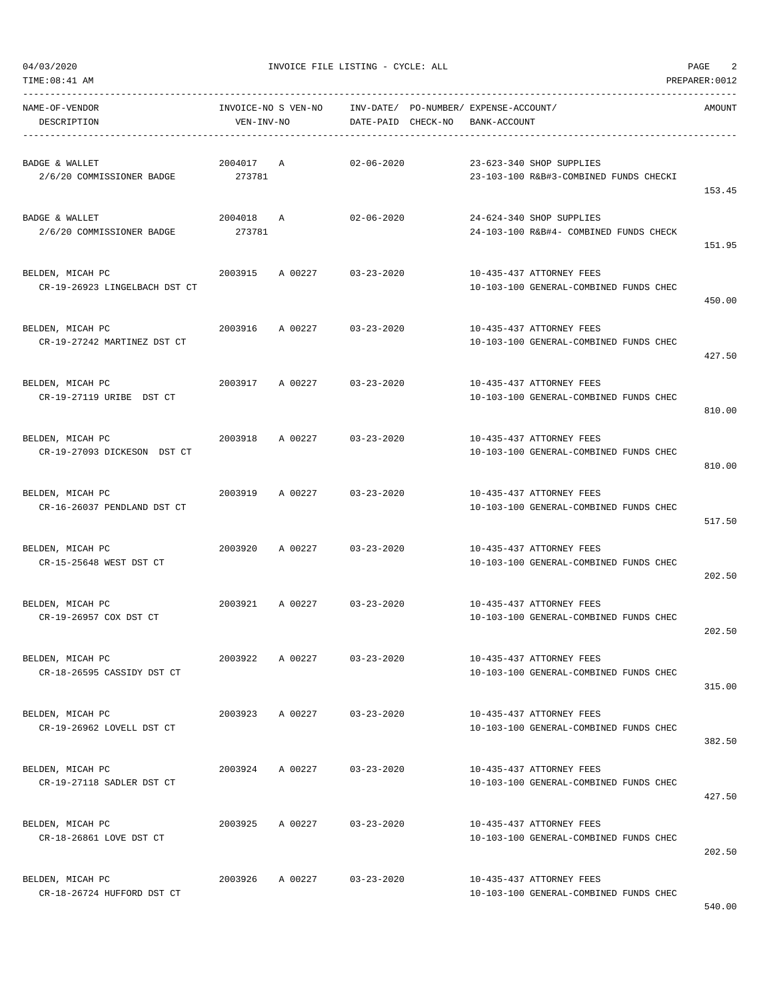| NAME-OF-VENDOR<br>DESCRIPTION                          | INVOICE-NO S VEN-NO<br>VEN-INV-NO |         | DATE-PAID CHECK-NO | INV-DATE/ PO-NUMBER/ EXPENSE-ACCOUNT/<br>BANK-ACCOUNT |                                                                    | AMOUNT |
|--------------------------------------------------------|-----------------------------------|---------|--------------------|-------------------------------------------------------|--------------------------------------------------------------------|--------|
| BADGE & WALLET<br>2/6/20 COMMISSIONER BADGE            | 2004017<br>273781                 | Α       | $02 - 06 - 2020$   |                                                       | 23-623-340 SHOP SUPPLIES<br>23-103-100 R&B#3-COMBINED FUNDS CHECKI | 153.45 |
| <b>BADGE &amp; WALLET</b><br>2/6/20 COMMISSIONER BADGE | 2004018 A<br>273781               |         | $02 - 06 - 2020$   |                                                       | 24-624-340 SHOP SUPPLIES<br>24-103-100 R&B#4- COMBINED FUNDS CHECK | 151.95 |
| BELDEN, MICAH PC<br>CR-19-26923 LINGELBACH DST CT      | 2003915 A 00227                   |         | $03 - 23 - 2020$   |                                                       | 10-435-437 ATTORNEY FEES<br>10-103-100 GENERAL-COMBINED FUNDS CHEC | 450.00 |
| BELDEN, MICAH PC<br>CR-19-27242 MARTINEZ DST CT        | 2003916                           | A 00227 | $03 - 23 - 2020$   |                                                       | 10-435-437 ATTORNEY FEES<br>10-103-100 GENERAL-COMBINED FUNDS CHEC | 427.50 |
| BELDEN, MICAH PC<br>CR-19-27119 URIBE DST CT           | 2003917                           | A 00227 | $03 - 23 - 2020$   |                                                       | 10-435-437 ATTORNEY FEES<br>10-103-100 GENERAL-COMBINED FUNDS CHEC | 810.00 |
| BELDEN, MICAH PC<br>CR-19-27093 DICKESON DST CT        | 2003918                           | A 00227 | $03 - 23 - 2020$   |                                                       | 10-435-437 ATTORNEY FEES<br>10-103-100 GENERAL-COMBINED FUNDS CHEC | 810.00 |
| BELDEN, MICAH PC<br>CR-16-26037 PENDLAND DST CT        | 2003919                           | A 00227 | $03 - 23 - 2020$   |                                                       | 10-435-437 ATTORNEY FEES<br>10-103-100 GENERAL-COMBINED FUNDS CHEC | 517.50 |
| BELDEN, MICAH PC<br>CR-15-25648 WEST DST CT            | 2003920                           | A 00227 | $03 - 23 - 2020$   |                                                       | 10-435-437 ATTORNEY FEES<br>10-103-100 GENERAL-COMBINED FUNDS CHEC | 202.50 |
| BELDEN, MICAH PC<br>CR-19-26957 COX DST CT             | 2003921                           | A 00227 | $03 - 23 - 2020$   |                                                       | 10-435-437 ATTORNEY FEES<br>10-103-100 GENERAL-COMBINED FUNDS CHEC | 202.50 |
| BELDEN, MICAH PC<br>CR-18-26595 CASSIDY DST CT         | 2003922                           | A 00227 | $03 - 23 - 2020$   |                                                       | 10-435-437 ATTORNEY FEES<br>10-103-100 GENERAL-COMBINED FUNDS CHEC | 315.00 |
| BELDEN, MICAH PC<br>CR-19-26962 LOVELL DST CT          | 2003923                           | A 00227 | $03 - 23 - 2020$   |                                                       | 10-435-437 ATTORNEY FEES<br>10-103-100 GENERAL-COMBINED FUNDS CHEC | 382.50 |
| BELDEN, MICAH PC<br>CR-19-27118 SADLER DST CT          | 2003924                           | A 00227 | $03 - 23 - 2020$   |                                                       | 10-435-437 ATTORNEY FEES<br>10-103-100 GENERAL-COMBINED FUNDS CHEC | 427.50 |
| BELDEN, MICAH PC<br>CR-18-26861 LOVE DST CT            | 2003925                           | A 00227 | $03 - 23 - 2020$   |                                                       | 10-435-437 ATTORNEY FEES<br>10-103-100 GENERAL-COMBINED FUNDS CHEC | 202.50 |
| BELDEN, MICAH PC<br>CR-18-26724 HUFFORD DST CT         | 2003926                           | A 00227 | $03 - 23 - 2020$   |                                                       | 10-435-437 ATTORNEY FEES<br>10-103-100 GENERAL-COMBINED FUNDS CHEC |        |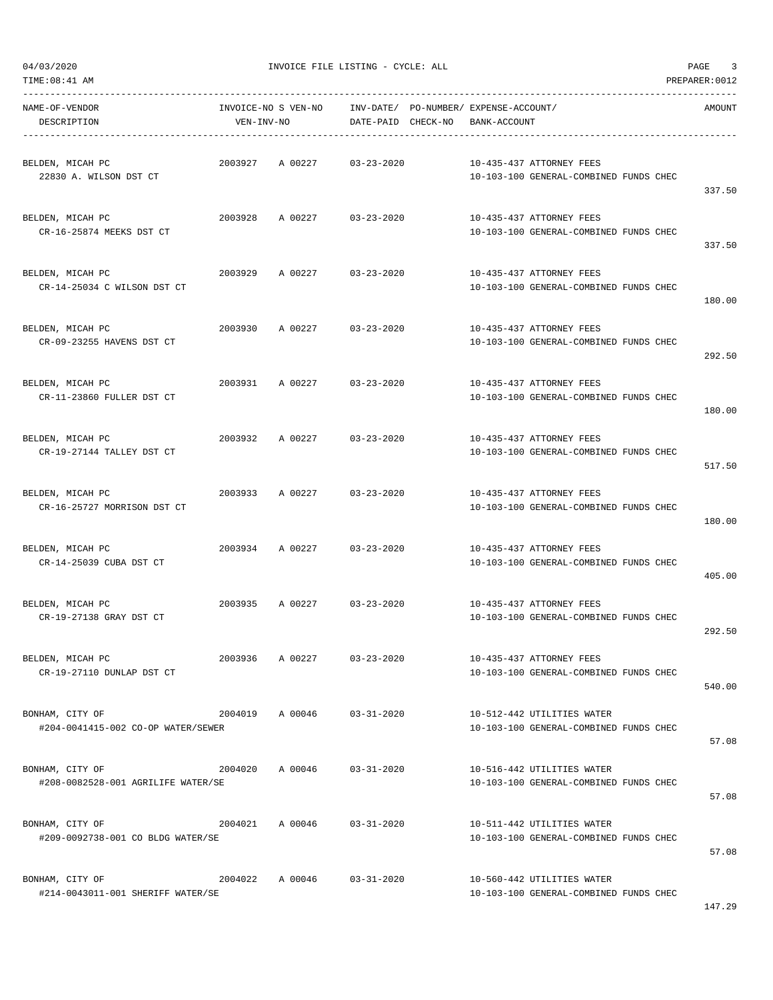| TIME: 08:41 AM                                        |            |                     |                    |                                                       |                                                                      | PREPARER: 0012 |
|-------------------------------------------------------|------------|---------------------|--------------------|-------------------------------------------------------|----------------------------------------------------------------------|----------------|
| NAME-OF-VENDOR<br>DESCRIPTION                         | VEN-INV-NO | INVOICE-NO S VEN-NO | DATE-PAID CHECK-NO | INV-DATE/ PO-NUMBER/ EXPENSE-ACCOUNT/<br>BANK-ACCOUNT |                                                                      | AMOUNT         |
| BELDEN, MICAH PC<br>22830 A. WILSON DST CT            | 2003927    | A 00227             | $03 - 23 - 2020$   |                                                       | 10-435-437 ATTORNEY FEES<br>10-103-100 GENERAL-COMBINED FUNDS CHEC   | 337.50         |
| BELDEN, MICAH PC<br>CR-16-25874 MEEKS DST CT          | 2003928    | A 00227             | $03 - 23 - 2020$   |                                                       | 10-435-437 ATTORNEY FEES<br>10-103-100 GENERAL-COMBINED FUNDS CHEC   | 337.50         |
| BELDEN, MICAH PC<br>CR-14-25034 C WILSON DST CT       | 2003929    | A 00227             | $03 - 23 - 2020$   |                                                       | 10-435-437 ATTORNEY FEES<br>10-103-100 GENERAL-COMBINED FUNDS CHEC   | 180.00         |
| BELDEN, MICAH PC<br>CR-09-23255 HAVENS DST CT         | 2003930    | A 00227             | $03 - 23 - 2020$   |                                                       | 10-435-437 ATTORNEY FEES<br>10-103-100 GENERAL-COMBINED FUNDS CHEC   | 292.50         |
| BELDEN, MICAH PC<br>CR-11-23860 FULLER DST CT         | 2003931    | A 00227             | $03 - 23 - 2020$   |                                                       | 10-435-437 ATTORNEY FEES<br>10-103-100 GENERAL-COMBINED FUNDS CHEC   | 180.00         |
| BELDEN, MICAH PC<br>CR-19-27144 TALLEY DST CT         | 2003932    | A 00227             | $03 - 23 - 2020$   |                                                       | 10-435-437 ATTORNEY FEES<br>10-103-100 GENERAL-COMBINED FUNDS CHEC   | 517.50         |
| BELDEN, MICAH PC<br>CR-16-25727 MORRISON DST CT       | 2003933    | A 00227             | $03 - 23 - 2020$   |                                                       | 10-435-437 ATTORNEY FEES<br>10-103-100 GENERAL-COMBINED FUNDS CHEC   | 180.00         |
| BELDEN, MICAH PC<br>CR-14-25039 CUBA DST CT           | 2003934    | A 00227             | $03 - 23 - 2020$   |                                                       | 10-435-437 ATTORNEY FEES<br>10-103-100 GENERAL-COMBINED FUNDS CHEC   | 405.00         |
| BELDEN, MICAH PC<br>CR-19-27138 GRAY DST CT           | 2003935    | A 00227             | $03 - 23 - 2020$   |                                                       | 10-435-437 ATTORNEY FEES<br>10-103-100 GENERAL-COMBINED FUNDS CHEC   | 292.50         |
| BELDEN, MICAH PC<br>CR-19-27110 DUNLAP DST CT         | 2003936    | A 00227             | $03 - 23 - 2020$   |                                                       | 10-435-437 ATTORNEY FEES<br>10-103-100 GENERAL-COMBINED FUNDS CHEC   | 540.00         |
| BONHAM, CITY OF<br>#204-0041415-002 CO-OP WATER/SEWER |            | 2004019 A 00046     | $03 - 31 - 2020$   |                                                       | 10-512-442 UTILITIES WATER<br>10-103-100 GENERAL-COMBINED FUNDS CHEC | 57.08          |
| BONHAM, CITY OF<br>#208-0082528-001 AGRILIFE WATER/SE | 2004020    | A 00046             | $03 - 31 - 2020$   |                                                       | 10-516-442 UTILITIES WATER<br>10-103-100 GENERAL-COMBINED FUNDS CHEC | 57.08          |
| BONHAM, CITY OF<br>#209-0092738-001 CO BLDG WATER/SE  |            | 2004021 A 00046     | $03 - 31 - 2020$   |                                                       | 10-511-442 UTILITIES WATER<br>10-103-100 GENERAL-COMBINED FUNDS CHEC | 57.08          |
| BONHAM, CITY OF<br>#214-0043011-001 SHERIFF WATER/SE  | 2004022    | A 00046             | $03 - 31 - 2020$   |                                                       | 10-560-442 UTILITIES WATER<br>10-103-100 GENERAL-COMBINED FUNDS CHEC |                |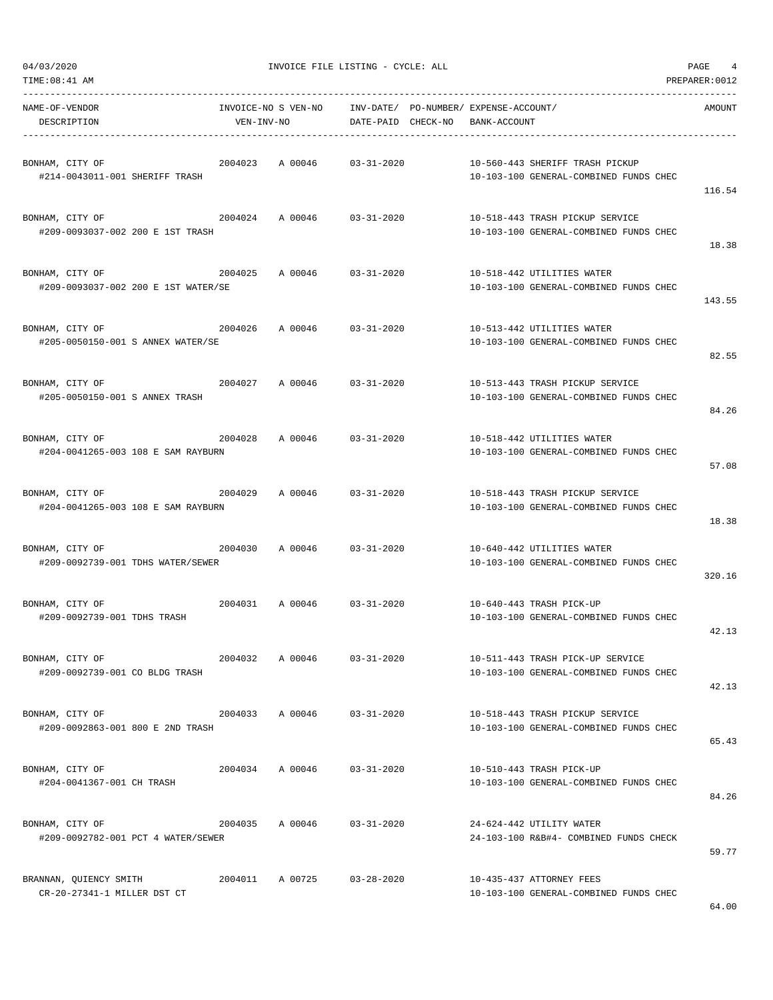| NAME-OF-VENDOR<br>DESCRIPTION                                                         | VEN-INV-NO      |                            | DATE-PAID CHECK-NO BANK-ACCOUNT |  |                                                                            | AMOUNT |
|---------------------------------------------------------------------------------------|-----------------|----------------------------|---------------------------------|--|----------------------------------------------------------------------------|--------|
| $2004023$ A 00046 03-31-2020<br>BONHAM, CITY OF<br>#214-0043011-001 SHERIFF TRASH     |                 |                            |                                 |  | 10-560-443 SHERIFF TRASH PICKUP<br>10-103-100 GENERAL-COMBINED FUNDS CHEC  | 116.54 |
| BONHAM, CITY OF<br>$2004024$ A 00046 03-31-2020<br>#209-0093037-002 200 E 1ST TRASH   |                 |                            |                                 |  | 10-518-443 TRASH PICKUP SERVICE<br>10-103-100 GENERAL-COMBINED FUNDS CHEC  | 18.38  |
| BONHAM, CITY OF<br>2004025 A 00046 03-31-2020<br>#209-0093037-002 200 E 1ST WATER/SE  |                 |                            |                                 |  | 10-518-442 UTILITIES WATER<br>10-103-100 GENERAL-COMBINED FUNDS CHEC       | 143.55 |
| 2004026 A 00046 03-31-2020<br>BONHAM, CITY OF<br>#205-0050150-001 S ANNEX WATER/SE    |                 |                            |                                 |  | 10-513-442 UTILITIES WATER<br>10-103-100 GENERAL-COMBINED FUNDS CHEC       | 82.55  |
| 2004027 A 00046 03-31-2020<br>BONHAM, CITY OF<br>#205-0050150-001 S ANNEX TRASH       |                 |                            |                                 |  | 10-513-443 TRASH PICKUP SERVICE<br>10-103-100 GENERAL-COMBINED FUNDS CHEC  | 84.26  |
| BONHAM, CITY OF<br>$2004028$ A 00046 03-31-2020<br>#204-0041265-003 108 E SAM RAYBURN |                 |                            |                                 |  | 10-518-442 UTILITIES WATER<br>10-103-100 GENERAL-COMBINED FUNDS CHEC       | 57.08  |
| BONHAM, CITY OF<br>#204-0041265-003 108 E SAM RAYBURN                                 |                 | 2004029 A 00046 03-31-2020 |                                 |  | 10-518-443 TRASH PICKUP SERVICE<br>10-103-100 GENERAL-COMBINED FUNDS CHEC  | 18.38  |
| 2004030 A 00046 03-31-2020<br>BONHAM, CITY OF<br>#209-0092739-001 TDHS WATER/SEWER    |                 |                            |                                 |  | 10-640-442 UTILITIES WATER<br>10-103-100 GENERAL-COMBINED FUNDS CHEC       | 320.16 |
| $2004031$ A 00046 03-31-2020<br>BONHAM, CITY OF<br>#209-0092739-001 TDHS TRASH        |                 |                            |                                 |  | 10-640-443 TRASH PICK-UP<br>10-103-100 GENERAL-COMBINED FUNDS CHEC         | 42.13  |
| BONHAM, CITY OF<br>#209-0092739-001 CO BLDG TRASH                                     | 2004032         | A 00046                    | $03 - 31 - 2020$                |  | 10-511-443 TRASH PICK-UP SERVICE<br>10-103-100 GENERAL-COMBINED FUNDS CHEC | 42.13  |
| BONHAM, CITY OF<br>#209-0092863-001 800 E 2ND TRASH                                   |                 | 2004033 A 00046 03-31-2020 |                                 |  | 10-518-443 TRASH PICKUP SERVICE<br>10-103-100 GENERAL-COMBINED FUNDS CHEC  | 65.43  |
| BONHAM, CITY OF<br>#204-0041367-001 CH TRASH                                          |                 | 2004034 A 00046 03-31-2020 |                                 |  | 10-510-443 TRASH PICK-UP<br>10-103-100 GENERAL-COMBINED FUNDS CHEC         | 84.26  |
| BONHAM, CITY OF<br>#209-0092782-001 PCT 4 WATER/SEWER                                 | 2004035 A 00046 |                            | $03 - 31 - 2020$                |  | 24-624-442 UTILITY WATER<br>24-103-100 R&B#4- COMBINED FUNDS CHECK         | 59.77  |
| BRANNAN, QUIENCY SMITH<br>CR-20-27341-1 MILLER DST CT                                 |                 | 2004011 A 00725 03-28-2020 |                                 |  | 10-435-437 ATTORNEY FEES<br>10-103-100 GENERAL-COMBINED FUNDS CHEC         |        |

64.00

04/03/2020 INVOICE FILE LISTING - CYCLE: ALL PAGE 4 TIME:08:41 AM PREPARER:0012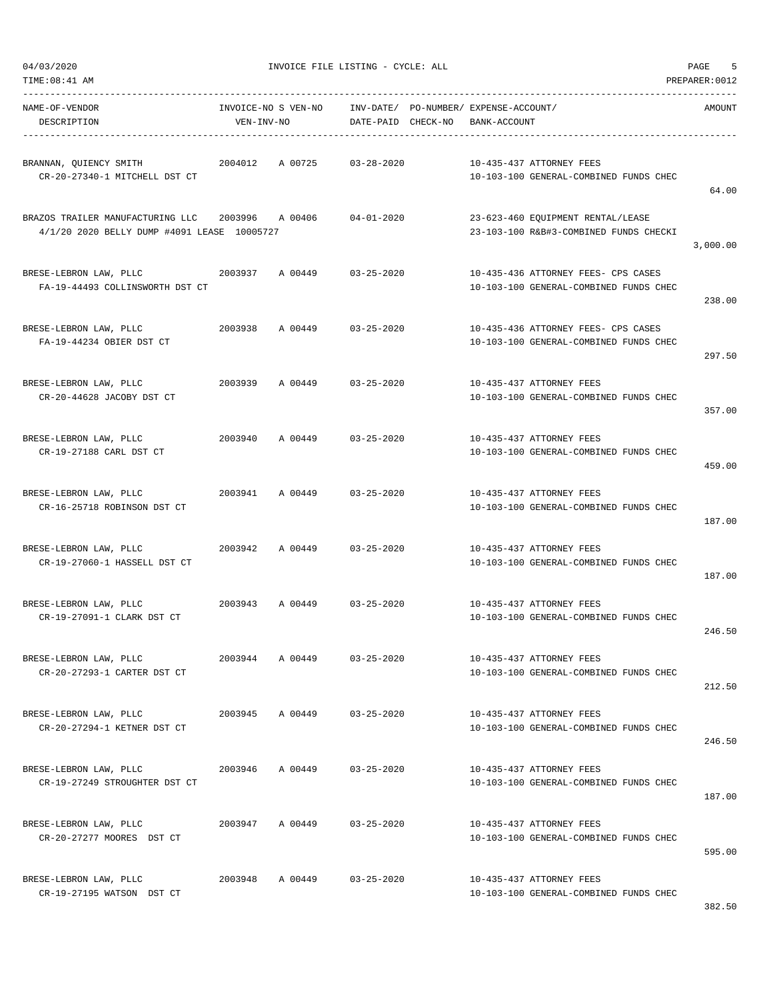TIME:08:41 AM PREPARER:0012

04/03/2020 INVOICE FILE LISTING - CYCLE: ALL PAGE 5

| NAME-OF-VENDOR<br>DESCRIPTION                                                                   | VEN-INV-NO |         | INVOICE-NO S VEN-NO INV-DATE/ PO-NUMBER/ EXPENSE-ACCOUNT/<br>DATE-PAID CHECK-NO | BANK-ACCOUNT |                                                                               | AMOUNT   |
|-------------------------------------------------------------------------------------------------|------------|---------|---------------------------------------------------------------------------------|--------------|-------------------------------------------------------------------------------|----------|
| BRANNAN, QUIENCY SMITH<br>CR-20-27340-1 MITCHELL DST CT                                         | 2004012    | A 00725 | $03 - 28 - 2020$                                                                |              | 10-435-437 ATTORNEY FEES<br>10-103-100 GENERAL-COMBINED FUNDS CHEC            | 64.00    |
| BRAZOS TRAILER MANUFACTURING LLC 2003996 A 00406<br>4/1/20 2020 BELLY DUMP #4091 LEASE 10005727 |            |         | 04-01-2020                                                                      |              | 23-623-460 EQUIPMENT RENTAL/LEASE<br>23-103-100 R&B#3-COMBINED FUNDS CHECKI   | 3,000.00 |
| BRESE-LEBRON LAW, PLLC<br>FA-19-44493 COLLINSWORTH DST CT                                       | 2003937    | A 00449 | $03 - 25 - 2020$                                                                |              | 10-435-436 ATTORNEY FEES- CPS CASES<br>10-103-100 GENERAL-COMBINED FUNDS CHEC | 238.00   |
| BRESE-LEBRON LAW, PLLC<br>FA-19-44234 OBIER DST CT                                              | 2003938    |         | A 00449 03-25-2020                                                              |              | 10-435-436 ATTORNEY FEES- CPS CASES<br>10-103-100 GENERAL-COMBINED FUNDS CHEC | 297.50   |
| BRESE-LEBRON LAW, PLLC<br>CR-20-44628 JACOBY DST CT                                             |            |         | 2003939 A 00449 03-25-2020                                                      |              | 10-435-437 ATTORNEY FEES<br>10-103-100 GENERAL-COMBINED FUNDS CHEC            | 357.00   |
| BRESE-LEBRON LAW, PLLC<br>CR-19-27188 CARL DST CT                                               | 2003940    |         | A 00449 03-25-2020                                                              |              | 10-435-437 ATTORNEY FEES<br>10-103-100 GENERAL-COMBINED FUNDS CHEC            | 459.00   |
| BRESE-LEBRON LAW, PLLC<br>CR-16-25718 ROBINSON DST CT                                           | 2003941    | A 00449 | $03 - 25 - 2020$                                                                |              | 10-435-437 ATTORNEY FEES<br>10-103-100 GENERAL-COMBINED FUNDS CHEC            | 187.00   |
| BRESE-LEBRON LAW, PLLC<br>2003942<br>CR-19-27060-1 HASSELL DST CT                               |            | A 00449 | $03 - 25 - 2020$                                                                |              | 10-435-437 ATTORNEY FEES<br>10-103-100 GENERAL-COMBINED FUNDS CHEC            | 187.00   |
| BRESE-LEBRON LAW, PLLC 2003943 A 00449 03-25-2020<br>CR-19-27091-1 CLARK DST CT                 |            |         |                                                                                 |              | 10-435-437 ATTORNEY FEES<br>10-103-100 GENERAL-COMBINED FUNDS CHEC            | 246.50   |
| BRESE-LEBRON LAW, PLLC<br>CR-20-27293-1 CARTER DST CT                                           | 2003944    | A 00449 | $03 - 25 - 2020$                                                                |              | 10-435-437 ATTORNEY FEES<br>10-103-100 GENERAL-COMBINED FUNDS CHEC            | 212.50   |
| BRESE-LEBRON LAW, PLLC<br>CR-20-27294-1 KETNER DST CT                                           | 2003945    | A 00449 | $03 - 25 - 2020$                                                                |              | 10-435-437 ATTORNEY FEES<br>10-103-100 GENERAL-COMBINED FUNDS CHEC            | 246.50   |
| BRESE-LEBRON LAW, PLLC<br>CR-19-27249 STROUGHTER DST CT                                         | 2003946    | A 00449 | $03 - 25 - 2020$                                                                |              | 10-435-437 ATTORNEY FEES<br>10-103-100 GENERAL-COMBINED FUNDS CHEC            | 187.00   |
| BRESE-LEBRON LAW, PLLC<br>CR-20-27277 MOORES DST CT                                             | 2003947    | A 00449 | $03 - 25 - 2020$                                                                |              | 10-435-437 ATTORNEY FEES<br>10-103-100 GENERAL-COMBINED FUNDS CHEC            | 595.00   |
| BRESE-LEBRON LAW, PLLC<br>CR-19-27195 WATSON DST CT                                             | 2003948    | A 00449 | $03 - 25 - 2020$                                                                |              | 10-435-437 ATTORNEY FEES<br>10-103-100 GENERAL-COMBINED FUNDS CHEC            |          |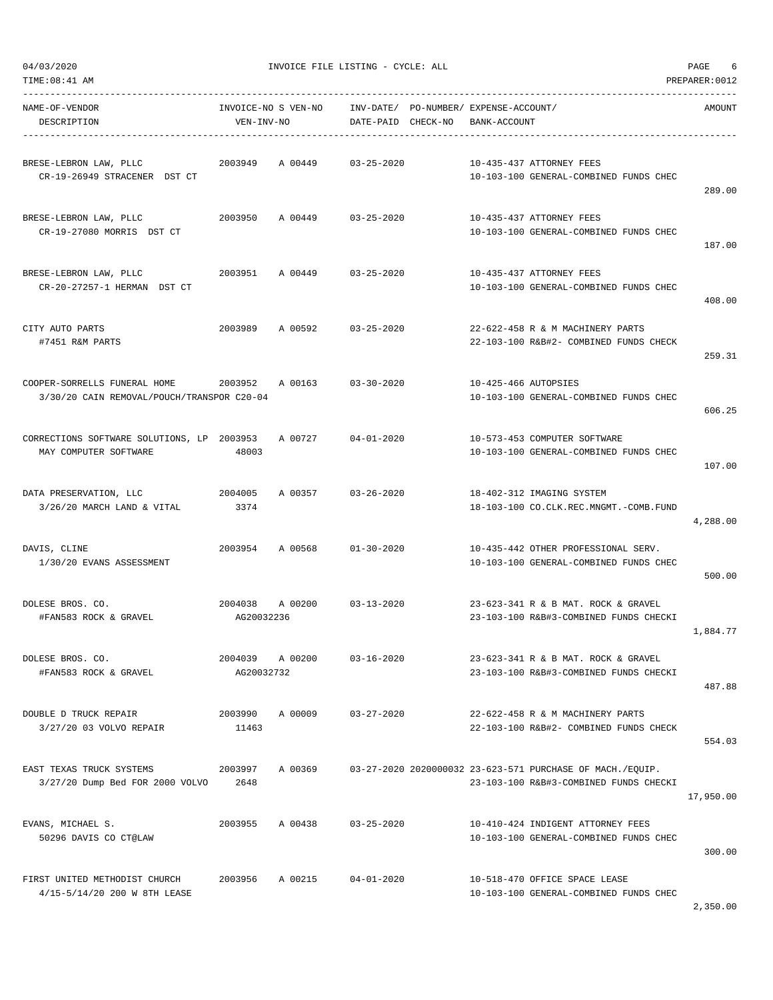| TIME: 08:41 AM                                                             |                                   |         |                                 |                                               |                                                                                                     | PREPARER: 0012 |
|----------------------------------------------------------------------------|-----------------------------------|---------|---------------------------------|-----------------------------------------------|-----------------------------------------------------------------------------------------------------|----------------|
| NAME-OF-VENDOR<br>DESCRIPTION                                              | INVOICE-NO S VEN-NO<br>VEN-INV-NO |         | INV-DATE/<br>DATE-PAID CHECK-NO | PO-NUMBER / EXPENSE-ACCOUNT /<br>BANK-ACCOUNT |                                                                                                     | AMOUNT         |
| BRESE-LEBRON LAW, PLLC<br>CR-19-26949 STRACENER DST CT                     | 2003949                           | A 00449 | $03 - 25 - 2020$                |                                               | 10-435-437 ATTORNEY FEES<br>10-103-100 GENERAL-COMBINED FUNDS CHEC                                  | 289.00         |
| BRESE-LEBRON LAW, PLLC<br>CR-19-27080 MORRIS DST CT                        | 2003950                           | A 00449 | $03 - 25 - 2020$                |                                               | 10-435-437 ATTORNEY FEES<br>10-103-100 GENERAL-COMBINED FUNDS CHEC                                  | 187.00         |
| BRESE-LEBRON LAW, PLLC<br>CR-20-27257-1 HERMAN DST CT                      | 2003951                           | A 00449 | $03 - 25 - 2020$                |                                               | 10-435-437 ATTORNEY FEES<br>10-103-100 GENERAL-COMBINED FUNDS CHEC                                  | 408.00         |
| CITY AUTO PARTS<br>#7451 R&M PARTS                                         | 2003989                           | A 00592 | $03 - 25 - 2020$                |                                               | 22-622-458 R & M MACHINERY PARTS<br>22-103-100 R&B#2- COMBINED FUNDS CHECK                          | 259.31         |
| COOPER-SORRELLS FUNERAL HOME<br>3/30/20 CAIN REMOVAL/POUCH/TRANSPOR C20-04 | 2003952                           | A 00163 | $03 - 30 - 2020$                | 10-425-466 AUTOPSIES                          | 10-103-100 GENERAL-COMBINED FUNDS CHEC                                                              | 606.25         |
| CORRECTIONS SOFTWARE SOLUTIONS, LP 2003953<br>MAY COMPUTER SOFTWARE        | 48003                             | A 00727 | $04 - 01 - 2020$                |                                               | 10-573-453 COMPUTER SOFTWARE<br>10-103-100 GENERAL-COMBINED FUNDS CHEC                              | 107.00         |
| DATA PRESERVATION, LLC<br>3/26/20 MARCH LAND & VITAL                       | 2004005<br>3374                   | A 00357 | $03 - 26 - 2020$                |                                               | 18-402-312 IMAGING SYSTEM<br>18-103-100 CO.CLK.REC.MNGMT.-COMB.FUND                                 | 4,288.00       |
| DAVIS, CLINE<br>1/30/20 EVANS ASSESSMENT                                   | 2003954                           | A 00568 | $01 - 30 - 2020$                |                                               | 10-435-442 OTHER PROFESSIONAL SERV.<br>10-103-100 GENERAL-COMBINED FUNDS CHEC                       | 500.00         |
| DOLESE BROS. CO.<br>#FAN583 ROCK & GRAVEL                                  | 2004038<br>AG20032236             | A 00200 | $03 - 13 - 2020$                |                                               | 23-623-341 R & B MAT. ROCK & GRAVEL<br>23-103-100 R&B#3-COMBINED FUNDS CHECKI                       | 1,884.77       |
| DOLESE BROS. CO.<br>#FAN583 ROCK & GRAVEL                                  | 2004039<br>AG20032732             | A 00200 | $03 - 16 - 2020$                |                                               | 23-623-341 R & B MAT. ROCK & GRAVEL<br>23-103-100 R&B#3-COMBINED FUNDS CHECKI                       | 487.88         |
| DOUBLE D TRUCK REPAIR<br>3/27/20 03 VOLVO REPAIR                           | 2003990<br>11463                  | A 00009 | $03 - 27 - 2020$                |                                               | 22-622-458 R & M MACHINERY PARTS<br>22-103-100 R&B#2- COMBINED FUNDS CHECK                          | 554.03         |
| EAST TEXAS TRUCK SYSTEMS<br>3/27/20 Dump Bed FOR 2000 VOLVO                | 2003997<br>2648                   | A 00369 |                                 |                                               | 03-27-2020 2020000032 23-623-571 PURCHASE OF MACH./EQUIP.<br>23-103-100 R&B#3-COMBINED FUNDS CHECKI | 17,950.00      |
| EVANS, MICHAEL S.<br>50296 DAVIS CO CT@LAW                                 | 2003955                           | A 00438 | $03 - 25 - 2020$                |                                               | 10-410-424 INDIGENT ATTORNEY FEES<br>10-103-100 GENERAL-COMBINED FUNDS CHEC                         | 300.00         |
| FIRST UNITED METHODIST CHURCH<br>4/15-5/14/20 200 W 8TH LEASE              | 2003956                           | A 00215 | $04 - 01 - 2020$                |                                               | 10-518-470 OFFICE SPACE LEASE<br>10-103-100 GENERAL-COMBINED FUNDS CHEC                             |                |

2,350.00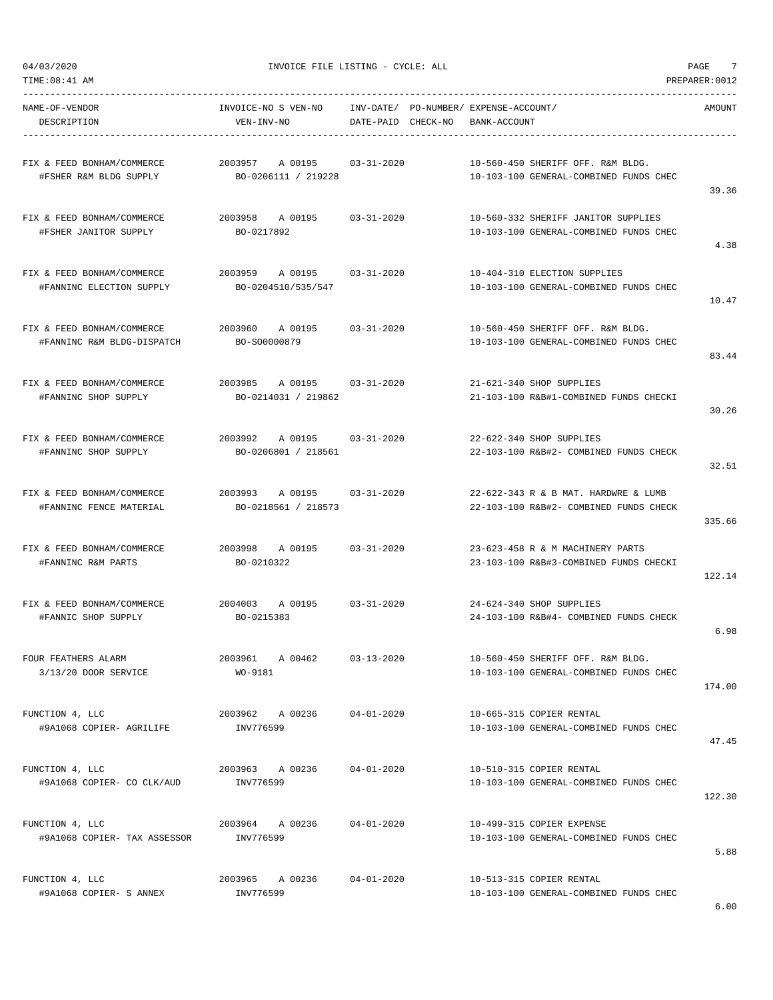| TIME:08:41 AM                                            |                                                      |                    |                                                                                | PREPARER: 0012 |
|----------------------------------------------------------|------------------------------------------------------|--------------------|--------------------------------------------------------------------------------|----------------|
| NAME-OF-VENDOR<br>DESCRIPTION                            | INVOICE-NO S VEN-NO<br>VEN-INV-NO                    | DATE-PAID CHECK-NO | INV-DATE/ PO-NUMBER/ EXPENSE-ACCOUNT/<br>BANK-ACCOUNT                          | AMOUNT         |
| FIX & FEED BONHAM/COMMERCE<br>#FSHER R&M BLDG SUPPLY     | 2003957<br>A 00195 03-31-2020<br>BO-0206111 / 219228 |                    | 10-560-450 SHERIFF OFF. R&M BLDG.<br>10-103-100 GENERAL-COMBINED FUNDS CHEC    | 39.36          |
| FIX & FEED BONHAM/COMMERCE<br>#FSHER JANITOR SUPPLY      | 2003958 A 00195 03-31-2020<br>BO-0217892             |                    | 10-560-332 SHERIFF JANITOR SUPPLIES<br>10-103-100 GENERAL-COMBINED FUNDS CHEC  | 4.38           |
| FIX & FEED BONHAM/COMMERCE<br>#FANNINC ELECTION SUPPLY   | 2003959 A 00195<br>BO-0204510/535/547                | $03 - 31 - 2020$   | 10-404-310 ELECTION SUPPLIES<br>10-103-100 GENERAL-COMBINED FUNDS CHEC         | 10.47          |
| FIX & FEED BONHAM/COMMERCE<br>#FANNINC R&M BLDG-DISPATCH | 2003960 A 00195<br>BO-SO0000879                      | 03-31-2020         | 10-560-450 SHERIFF OFF. R&M BLDG.<br>10-103-100 GENERAL-COMBINED FUNDS CHEC    | 83.44          |
| FIX & FEED BONHAM/COMMERCE<br>#FANNINC SHOP SUPPLY       | 2003985<br>A 00195 03-31-2020<br>BO-0214031 / 219862 |                    | 21-621-340 SHOP SUPPLIES<br>21-103-100 R&B#1-COMBINED FUNDS CHECKI             | 30.26          |
| FIX & FEED BONHAM/COMMERCE<br>#FANNINC SHOP SUPPLY       | 2003992 A00195<br>BO-0206801 / 218561                | 03-31-2020         | 22-622-340 SHOP SUPPLIES<br>22-103-100 R&B#2- COMBINED FUNDS CHECK             | 32.51          |
| FIX & FEED BONHAM/COMMERCE<br>#FANNINC FENCE MATERIAL    | 2003993 A 00195 03-31-2020<br>BO-0218561 / 218573    |                    | 22-622-343 R & B MAT. HARDWRE & LUMB<br>22-103-100 R&B#2- COMBINED FUNDS CHECK | 335.66         |
| FIX & FEED BONHAM/COMMERCE<br>#FANNINC R&M PARTS         | 2003998<br>A 00195<br>BO-0210322                     | 03-31-2020         | 23-623-458 R & M MACHINERY PARTS<br>23-103-100 R&B#3-COMBINED FUNDS CHECKI     | 122.14         |
| FIX & FEED BONHAM/COMMERCE<br>#FANNIC SHOP SUPPLY        | 2004003 A 00195 03-31-2020<br>BO-0215383             |                    | 24-624-340 SHOP SUPPLIES<br>24-103-100 R&B#4- COMBINED FUNDS CHECK             | 6.98           |
| FOUR FEATHERS ALARM<br>3/13/20 DOOR SERVICE              | 2003961 A 00462<br>WO-9181                           | $03 - 13 - 2020$   | 10-560-450 SHERIFF OFF. R&M BLDG.<br>10-103-100 GENERAL-COMBINED FUNDS CHEC    | 174.00         |
| FUNCTION 4, LLC<br>#9A1068 COPIER- AGRILIFE              | 2003962 A 00236<br>INV776599                         | $04 - 01 - 2020$   | 10-665-315 COPIER RENTAL<br>10-103-100 GENERAL-COMBINED FUNDS CHEC             | 47.45          |
| FUNCTION 4, LLC<br>#9A1068 COPIER- CO CLK/AUD            | 2003963 A 00236<br>INV776599                         | $04 - 01 - 2020$   | 10-510-315 COPIER RENTAL<br>10-103-100 GENERAL-COMBINED FUNDS CHEC             | 122.30         |
| FUNCTION 4, LLC<br>#9A1068 COPIER- TAX ASSESSOR          | 2003964 A 00236<br>INV776599                         | $04 - 01 - 2020$   | 10-499-315 COPIER EXPENSE<br>10-103-100 GENERAL-COMBINED FUNDS CHEC            | 5.88           |
| FUNCTION 4, LLC<br>#9A1068 COPIER- S ANNEX               | 2003965 A 00236<br>INV776599                         | $04 - 01 - 2020$   | 10-513-315 COPIER RENTAL<br>10-103-100 GENERAL-COMBINED FUNDS CHEC             |                |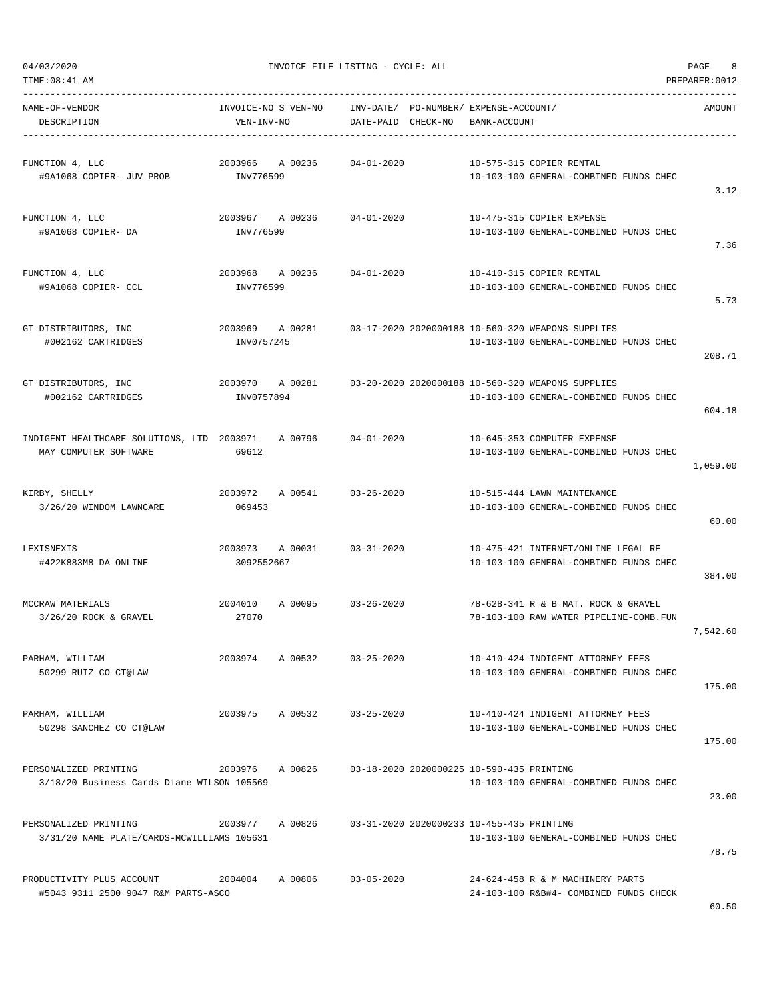|  | 04/03/2020 |  |
|--|------------|--|
|  |            |  |
|  |            |  |

| NAME-OF-VENDOR<br>DESCRIPTION                                                          | VEN-INV-NO      | INVOICE-NO S VEN-NO INV-DATE/ PO-NUMBER/ EXPENSE-ACCOUNT/ | DATE-PAID CHECK-NO |                                           | BANK-ACCOUNT |                                                                                                             | AMOUNT   |
|----------------------------------------------------------------------------------------|-----------------|-----------------------------------------------------------|--------------------|-------------------------------------------|--------------|-------------------------------------------------------------------------------------------------------------|----------|
| FUNCTION 4, LLC<br>#9A1068 COPIER- JUV PROB                                            | INV776599       | 2003966 A 00236                                           | 04-01-2020         |                                           |              | 10-575-315 COPIER RENTAL<br>10-103-100 GENERAL-COMBINED FUNDS CHEC                                          | 3.12     |
| FUNCTION 4, LLC<br>#9A1068 COPIER- DA                                                  | INV776599       | 2003967 A 00236                                           | 04-01-2020         |                                           |              | 10-475-315 COPIER EXPENSE<br>10-103-100 GENERAL-COMBINED FUNDS CHEC                                         | 7.36     |
| FUNCTION 4, LLC<br>#9A1068 COPIER- CCL                                                 | INV776599       | 2003968 A 00236 04-01-2020                                |                    |                                           |              | 10-410-315 COPIER RENTAL<br>10-103-100 GENERAL-COMBINED FUNDS CHEC                                          | 5.73     |
| GT DISTRIBUTORS, INC<br>#002162 CARTRIDGES                                             | INV0757245      |                                                           |                    |                                           |              | 2003969 A 00281 03-17-2020 2020000188 10-560-320 WEAPONS SUPPLIES<br>10-103-100 GENERAL-COMBINED FUNDS CHEC | 208.71   |
| GT DISTRIBUTORS, INC<br>#002162 CARTRIDGES                                             | INV0757894      |                                                           |                    |                                           |              | 2003970 A 00281 03-20-2020 2020000188 10-560-320 WEAPONS SUPPLIES<br>10-103-100 GENERAL-COMBINED FUNDS CHEC | 604.18   |
| INDIGENT HEALTHCARE SOLUTIONS, LTD 2003971 A 00796 04-01-2020<br>MAY COMPUTER SOFTWARE | 69612           |                                                           |                    |                                           |              | 10-645-353 COMPUTER EXPENSE<br>10-103-100 GENERAL-COMBINED FUNDS CHEC                                       | 1,059.00 |
| KIRBY, SHELLY<br>3/26/20 WINDOM LAWNCARE                                               | 069453          | 2003972 A 00541 03-26-2020                                |                    |                                           |              | 10-515-444 LAWN MAINTENANCE<br>10-103-100 GENERAL-COMBINED FUNDS CHEC                                       | 60.00    |
| LEXISNEXIS<br>#422K883M8 DA ONLINE                                                     | 3092552667      | 2003973 A 00031 03-31-2020                                |                    |                                           |              | 10-475-421 INTERNET/ONLINE LEGAL RE<br>10-103-100 GENERAL-COMBINED FUNDS CHEC                               | 384.00   |
| MCCRAW MATERIALS<br>$3/26/20$ ROCK & GRAVEL                                            | 27070           | 2004010 A 00095 03-26-2020                                |                    |                                           |              | 78-628-341 R & B MAT. ROCK & GRAVEL<br>78-103-100 RAW WATER PIPELINE-COMB.FUN                               | 7,542.60 |
| PARHAM, WILLIAM<br>50299 RUIZ CO CT@LAW                                                | 2003974         | A 00532                                                   | $03 - 25 - 2020$   |                                           |              | 10-410-424 INDIGENT ATTORNEY FEES<br>10-103-100 GENERAL-COMBINED FUNDS CHEC                                 | 175.00   |
| PARHAM, WILLIAM<br>50298 SANCHEZ CO CT@LAW                                             | 2003975         | A 00532 03-25-2020                                        |                    |                                           |              | 10-410-424 INDIGENT ATTORNEY FEES<br>10-103-100 GENERAL-COMBINED FUNDS CHEC                                 | 175.00   |
| PERSONALIZED PRINTING<br>3/18/20 Business Cards Diane WILSON 105569                    | 2003976 A 00826 |                                                           |                    | 03-18-2020 2020000225 10-590-435 PRINTING |              | 10-103-100 GENERAL-COMBINED FUNDS CHEC                                                                      | 23.00    |
| PERSONALIZED PRINTING<br>3/31/20 NAME PLATE/CARDS-MCWILLIAMS 105631                    | 2003977         | A 00826                                                   |                    | 03-31-2020 2020000233 10-455-435 PRINTING |              | 10-103-100 GENERAL-COMBINED FUNDS CHEC                                                                      | 78.75    |
| PRODUCTIVITY PLUS ACCOUNT<br>#5043 9311 2500 9047 R&M PARTS-ASCO                       | 2004004 A 00806 |                                                           | $03 - 05 - 2020$   |                                           |              | 24-624-458 R & M MACHINERY PARTS<br>24-103-100 R&B#4- COMBINED FUNDS CHECK                                  |          |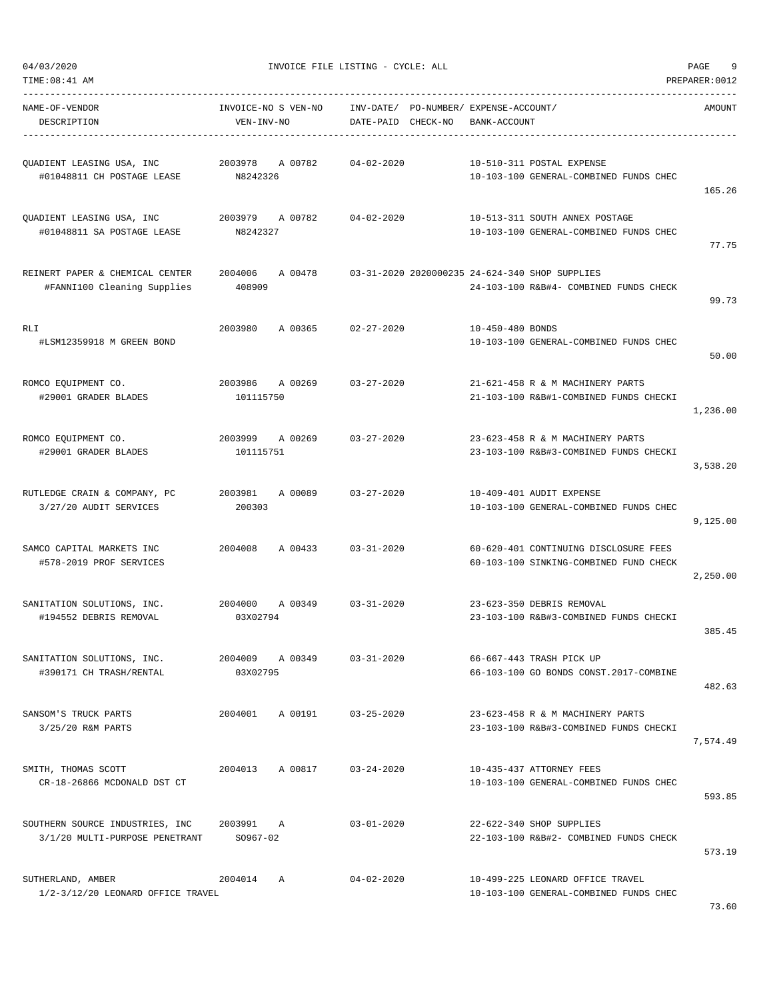| NAME-OF-VENDOR<br>DESCRIPTION                                     | INVOICE-NO S VEN-NO<br>VEN-INV-NO |                 | DATE-PAID CHECK-NO         | INV-DATE/ PO-NUMBER/ EXPENSE-ACCOUNT/<br>BANK-ACCOUNT |                                                                                          | AMOUNT   |
|-------------------------------------------------------------------|-----------------------------------|-----------------|----------------------------|-------------------------------------------------------|------------------------------------------------------------------------------------------|----------|
| QUADIENT LEASING USA, INC<br>#01048811 CH POSTAGE LEASE           | 2003978<br>N8242326               | A 00782         | $04 - 02 - 2020$           |                                                       | 10-510-311 POSTAL EXPENSE<br>10-103-100 GENERAL-COMBINED FUNDS CHEC                      | 165.26   |
| QUADIENT LEASING USA, INC<br>#01048811 SA POSTAGE LEASE           | N8242327                          |                 | 2003979 A 00782 04-02-2020 |                                                       | 10-513-311 SOUTH ANNEX POSTAGE<br>10-103-100 GENERAL-COMBINED FUNDS CHEC                 | 77.75    |
| REINERT PAPER & CHEMICAL CENTER<br>#FANNI100 Cleaning Supplies    | 2004006<br>408909                 | A 00478         |                            |                                                       | 03-31-2020 2020000235 24-624-340 SHOP SUPPLIES<br>24-103-100 R&B#4- COMBINED FUNDS CHECK | 99.73    |
| RLI<br>#LSM12359918 M GREEN BOND                                  | 2003980                           | A 00365         | $02 - 27 - 2020$           | 10-450-480 BONDS                                      | 10-103-100 GENERAL-COMBINED FUNDS CHEC                                                   | 50.00    |
| ROMCO EQUIPMENT CO.<br>#29001 GRADER BLADES                       | 2003986 A 00269<br>101115750      |                 | $03 - 27 - 2020$           |                                                       | 21-621-458 R & M MACHINERY PARTS<br>21-103-100 R&B#1-COMBINED FUNDS CHECKI               | 1,236.00 |
| ROMCO EQUIPMENT CO.<br>#29001 GRADER BLADES                       | 2003999<br>101115751              | A 00269         | $03 - 27 - 2020$           |                                                       | 23-623-458 R & M MACHINERY PARTS<br>23-103-100 R&B#3-COMBINED FUNDS CHECKI               | 3,538.20 |
| RUTLEDGE CRAIN & COMPANY, PC<br>3/27/20 AUDIT SERVICES            | 2003981<br>200303                 | A 00089         | $03 - 27 - 2020$           |                                                       | 10-409-401 AUDIT EXPENSE<br>10-103-100 GENERAL-COMBINED FUNDS CHEC                       | 9,125.00 |
| SAMCO CAPITAL MARKETS INC<br>#578-2019 PROF SERVICES              | 2004008                           | A 00433         | $03 - 31 - 2020$           |                                                       | 60-620-401 CONTINUING DISCLOSURE FEES<br>60-103-100 SINKING-COMBINED FUND CHECK          | 2,250.00 |
| SANITATION SOLUTIONS, INC.<br>#194552 DEBRIS REMOVAL              | 2004000<br>03X02794               |                 | A 00349 03-31-2020         |                                                       | 23-623-350 DEBRIS REMOVAL<br>23-103-100 R&B#3-COMBINED FUNDS CHECKI                      | 385.45   |
| SANITATION SOLUTIONS, INC.<br>#390171 CH TRASH/RENTAL             | 2004009<br>03X02795               | A 00349         | $03 - 31 - 2020$           |                                                       | 66-667-443 TRASH PICK UP<br>66-103-100 GO BONDS CONST.2017-COMBINE                       | 482.63   |
| SANSOM'S TRUCK PARTS<br>3/25/20 R&M PARTS                         | 2004001                           | A 00191         | $03 - 25 - 2020$           |                                                       | 23-623-458 R & M MACHINERY PARTS<br>23-103-100 R&B#3-COMBINED FUNDS CHECKI               | 7,574.49 |
| SMITH, THOMAS SCOTT<br>CR-18-26866 MCDONALD DST CT                |                                   | 2004013 A 00817 | $03 - 24 - 2020$           |                                                       | 10-435-437 ATTORNEY FEES<br>10-103-100 GENERAL-COMBINED FUNDS CHEC                       | 593.85   |
| SOUTHERN SOURCE INDUSTRIES, INC<br>3/1/20 MULTI-PURPOSE PENETRANT | 2003991 A<br>SO967-02             |                 | $03 - 01 - 2020$           |                                                       | 22-622-340 SHOP SUPPLIES<br>22-103-100 R&B#2- COMBINED FUNDS CHECK                       | 573.19   |
| SUTHERLAND, AMBER<br>1/2-3/12/20 LEONARD OFFICE TRAVEL            | 2004014 A                         |                 | $04 - 02 - 2020$           |                                                       | 10-499-225 LEONARD OFFICE TRAVEL<br>10-103-100 GENERAL-COMBINED FUNDS CHEC               |          |

73.60

## 04/03/2020 INVOICE FILE LISTING - CYCLE: ALL PAGE 9

TIME:08:41 AM PREPARER:0012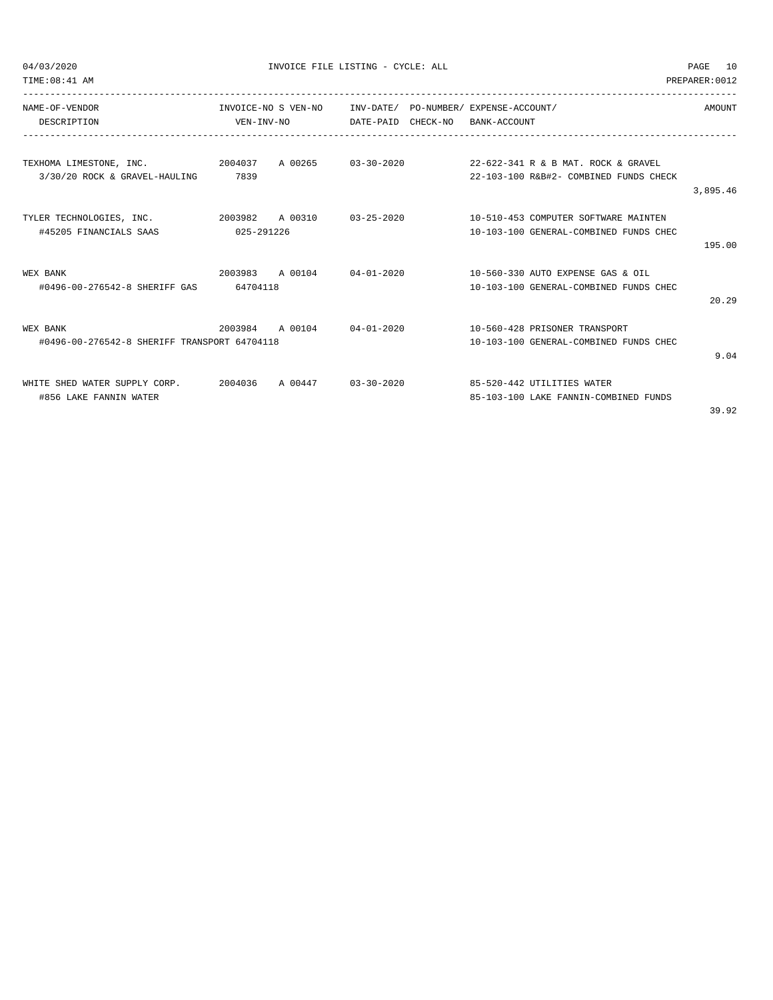| TIME: 08:41 AM                                                                      |            |                            |  |                                                                               | PREPARER: 0012 |
|-------------------------------------------------------------------------------------|------------|----------------------------|--|-------------------------------------------------------------------------------|----------------|
| NAME-OF-VENDOR                                                                      |            | INVOICE-NO S VEN-NO        |  | INV-DATE/ PO-NUMBER/ EXPENSE-ACCOUNT/                                         | AMOUNT         |
| DESCRIPTION                                                                         |            | VEN-INV-NO                 |  | DATE-PAID CHECK-NO BANK-ACCOUNT                                               |                |
|                                                                                     |            |                            |  |                                                                               |                |
| TEXHOMA LIMESTONE, INC. 2004037 A 00265 03-30-2020<br>3/30/20 ROCK & GRAVEL-HAULING | 7839       |                            |  | 22-622-341 R & B MAT. ROCK & GRAVEL<br>22-103-100 R&B#2- COMBINED FUNDS CHECK |                |
|                                                                                     |            |                            |  |                                                                               | 3,895.46       |
| TYLER TECHNOLOGIES, INC. 2003982 A 00310 03-25-2020                                 |            |                            |  | 10-510-453 COMPUTER SOFTWARE MAINTEN                                          |                |
| #45205 FINANCIALS SAAS                                                              | 025-291226 |                            |  | 10-103-100 GENERAL-COMBINED FUNDS CHEC                                        |                |
|                                                                                     |            |                            |  |                                                                               | 195.00         |
| WEX BANK                                                                            |            | 2003983 A 00104 04-01-2020 |  | 10-560-330 AUTO EXPENSE GAS & OIL                                             |                |
| #0496-00-276542-8 SHERIFF GAS                                                       | 64704118   |                            |  | 10-103-100 GENERAL-COMBINED FUNDS CHEC                                        |                |
|                                                                                     |            |                            |  |                                                                               | 20.29          |
| WEX BANK                                                                            |            | 2003984 A 00104 04-01-2020 |  | 10-560-428 PRISONER TRANSPORT                                                 |                |
| #0496-00-276542-8 SHERIFF TRANSPORT 64704118                                        |            |                            |  | 10-103-100 GENERAL-COMBINED FUNDS CHEC                                        |                |
|                                                                                     |            |                            |  |                                                                               | 9.04           |
| WHITE SHED WATER SUPPLY CORP.                                                       |            | 2004036 A 00447 03-30-2020 |  | 85-520-442 UTILITIES WATER                                                    |                |
| #856 LAKE FANNIN WATER                                                              |            |                            |  | 85-103-100 LAKE FANNIN-COMBINED FUNDS                                         |                |
|                                                                                     |            |                            |  |                                                                               | 39.92          |